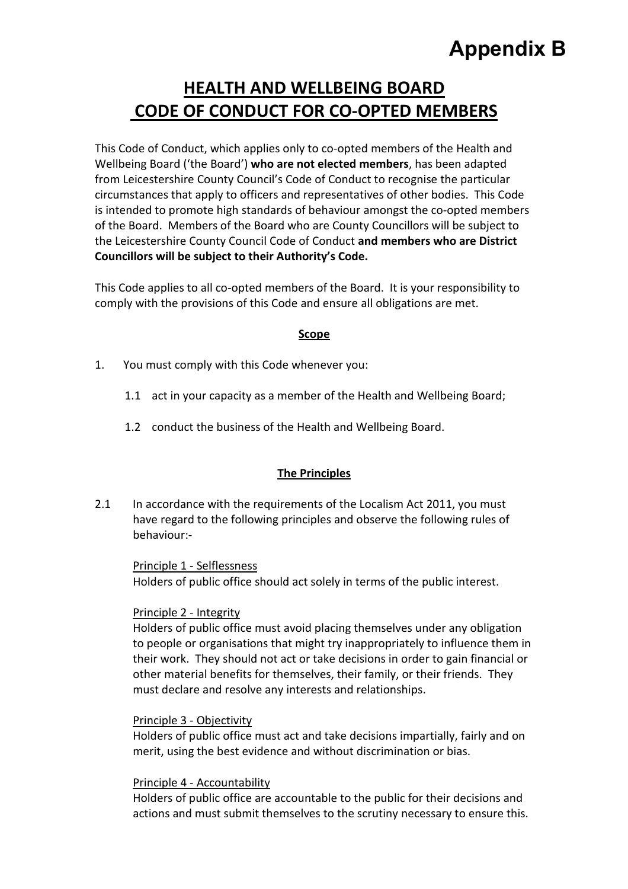# **Appendix B**

# **HEALTH AND WELLBEING BOARD CODE OF CONDUCT FOR CO-OPTED MEMBERS**

This Code of Conduct, which applies only to co-opted members of the Health and Wellbeing Board ('the Board') **who are not elected members**, has been adapted from Leicestershire County Council's Code of Conduct to recognise the particular circumstances that apply to officers and representatives of other bodies. This Code is intended to promote high standards of behaviour amongst the co-opted members of the Board. Members of the Board who are County Councillors will be subject to the Leicestershire County Council Code of Conduct **and members who are District Councillors will be subject to their Authority's Code.** 

This Code applies to all co-opted members of the Board. It is your responsibility to comply with the provisions of this Code and ensure all obligations are met.

#### **Scope**

- 1. You must comply with this Code whenever you:
	- 1.1 act in your capacity as a member of the Health and Wellbeing Board;
	- 1.2 conduct the business of the Health and Wellbeing Board.

#### **The Principles**

2.1 In accordance with the requirements of the Localism Act 2011, you must have regard to the following principles and observe the following rules of behaviour:-

Principle 1 - Selflessness Holders of public office should act solely in terms of the public interest.

# Principle 2 - Integrity

Holders of public office must avoid placing themselves under any obligation to people or organisations that might try inappropriately to influence them in their work. They should not act or take decisions in order to gain financial or other material benefits for themselves, their family, or their friends. They must declare and resolve any interests and relationships.

# Principle 3 - Objectivity

Holders of public office must act and take decisions impartially, fairly and on merit, using the best evidence and without discrimination or bias.

#### Principle 4 - Accountability

Holders of public office are accountable to the public for their decisions and actions and must submit themselves to the scrutiny necessary to ensure this.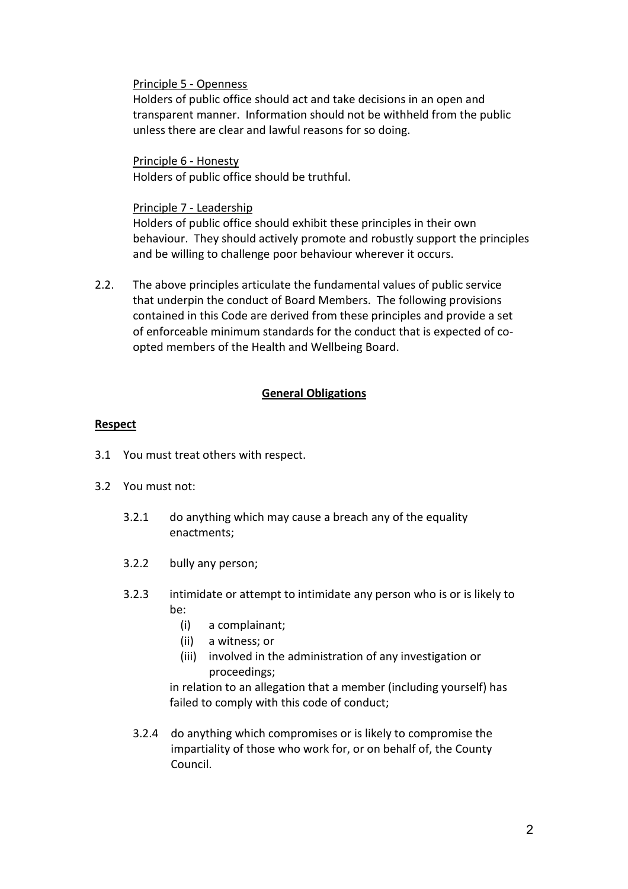#### Principle 5 - Openness

Holders of public office should act and take decisions in an open and transparent manner. Information should not be withheld from the public unless there are clear and lawful reasons for so doing.

Principle 6 - Honesty Holders of public office should be truthful.

#### Principle 7 - Leadership

Holders of public office should exhibit these principles in their own behaviour. They should actively promote and robustly support the principles and be willing to challenge poor behaviour wherever it occurs.

2.2. The above principles articulate the fundamental values of public service that underpin the conduct of Board Members. The following provisions contained in this Code are derived from these principles and provide a set of enforceable minimum standards for the conduct that is expected of coopted members of the Health and Wellbeing Board.

#### **General Obligations**

# **Respect**

- 3.1 You must treat others with respect.
- 3.2 You must not:
	- 3.2.1 do anything which may cause a breach any of the equality enactments;
	- 3.2.2 bully any person;
	- 3.2.3 intimidate or attempt to intimidate any person who is or is likely to be:
		- (i) a complainant;
		- (ii) a witness; or
		- (iii) involved in the administration of any investigation or proceedings;

 in relation to an allegation that a member (including yourself) has failed to comply with this code of conduct;

3.2.4 do anything which compromises or is likely to compromise the impartiality of those who work for, or on behalf of, the County Council.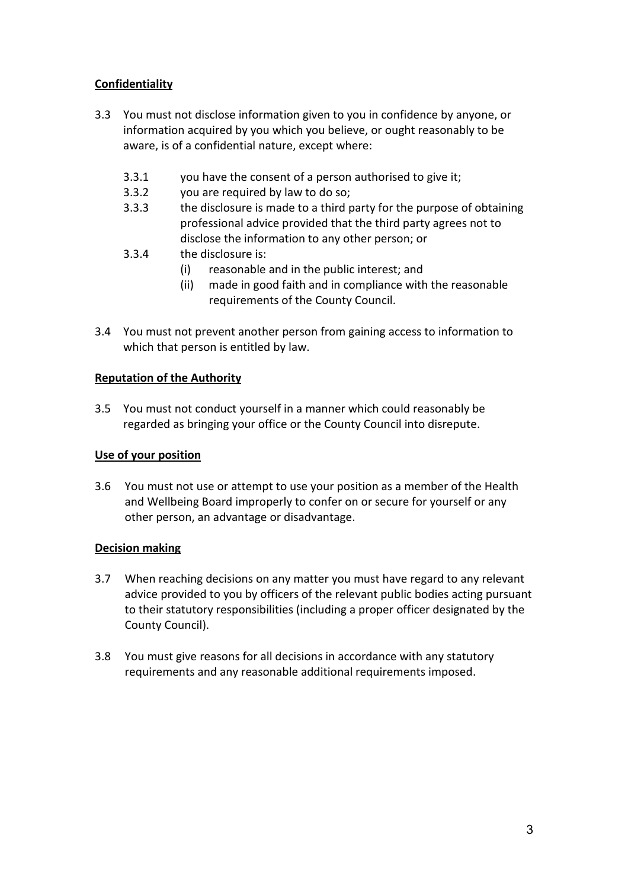# **Confidentiality**

- 3.3 You must not disclose information given to you in confidence by anyone, or information acquired by you which you believe, or ought reasonably to be aware, is of a confidential nature, except where:
	- 3.3.1 you have the consent of a person authorised to give it;
	- 3.3.2 you are required by law to do so;
	- 3.3.3 the disclosure is made to a third party for the purpose of obtaining professional advice provided that the third party agrees not to disclose the information to any other person; or
	- 3.3.4 the disclosure is:
		- (i) reasonable and in the public interest; and
		- (ii) made in good faith and in compliance with the reasonable requirements of the County Council.
- 3.4 You must not prevent another person from gaining access to information to which that person is entitled by law.

# **Reputation of the Authority**

3.5 You must not conduct yourself in a manner which could reasonably be regarded as bringing your office or the County Council into disrepute.

#### **Use of your position**

3.6 You must not use or attempt to use your position as a member of the Health and Wellbeing Board improperly to confer on or secure for yourself or any other person, an advantage or disadvantage.

# **Decision making**

- 3.7 When reaching decisions on any matter you must have regard to any relevant advice provided to you by officers of the relevant public bodies acting pursuant to their statutory responsibilities (including a proper officer designated by the County Council).
- 3.8 You must give reasons for all decisions in accordance with any statutory requirements and any reasonable additional requirements imposed.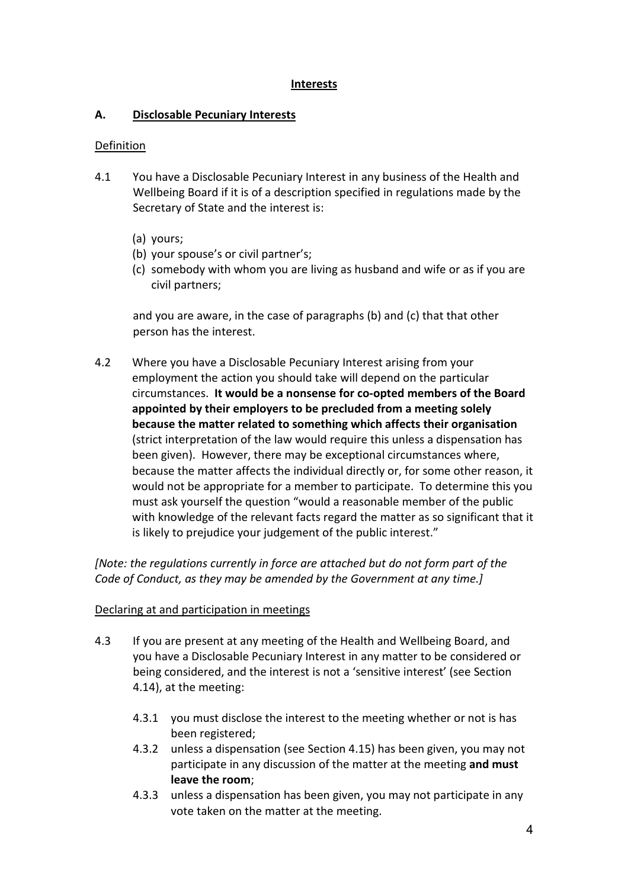# **Interests**

# **A. Disclosable Pecuniary Interests**

# Definition

- 4.1 You have a Disclosable Pecuniary Interest in any business of the Health and Wellbeing Board if it is of a description specified in regulations made by the Secretary of State and the interest is:
	- (a) yours;
	- (b) your spouse's or civil partner's;
	- (c) somebody with whom you are living as husband and wife or as if you are civil partners;

and you are aware, in the case of paragraphs (b) and (c) that that other person has the interest.

4.2 Where you have a Disclosable Pecuniary Interest arising from your employment the action you should take will depend on the particular circumstances. **It would be a nonsense for co-opted members of the Board appointed by their employers to be precluded from a meeting solely because the matter related to something which affects their organisation** (strict interpretation of the law would require this unless a dispensation has been given). However, there may be exceptional circumstances where, because the matter affects the individual directly or, for some other reason, it would not be appropriate for a member to participate. To determine this you must ask yourself the question "would a reasonable member of the public with knowledge of the relevant facts regard the matter as so significant that it is likely to prejudice your judgement of the public interest."

*[Note: the regulations currently in force are attached but do not form part of the Code of Conduct, as they may be amended by the Government at any time.]*

# Declaring at and participation in meetings

- 4.3 If you are present at any meeting of the Health and Wellbeing Board, and you have a Disclosable Pecuniary Interest in any matter to be considered or being considered, and the interest is not a 'sensitive interest' (see Section 4.14), at the meeting:
	- 4.3.1 you must disclose the interest to the meeting whether or not is has been registered;
	- 4.3.2 unless a dispensation (see Section 4.15) has been given, you may not participate in any discussion of the matter at the meeting **and must leave the room**;
	- 4.3.3 unless a dispensation has been given, you may not participate in any vote taken on the matter at the meeting.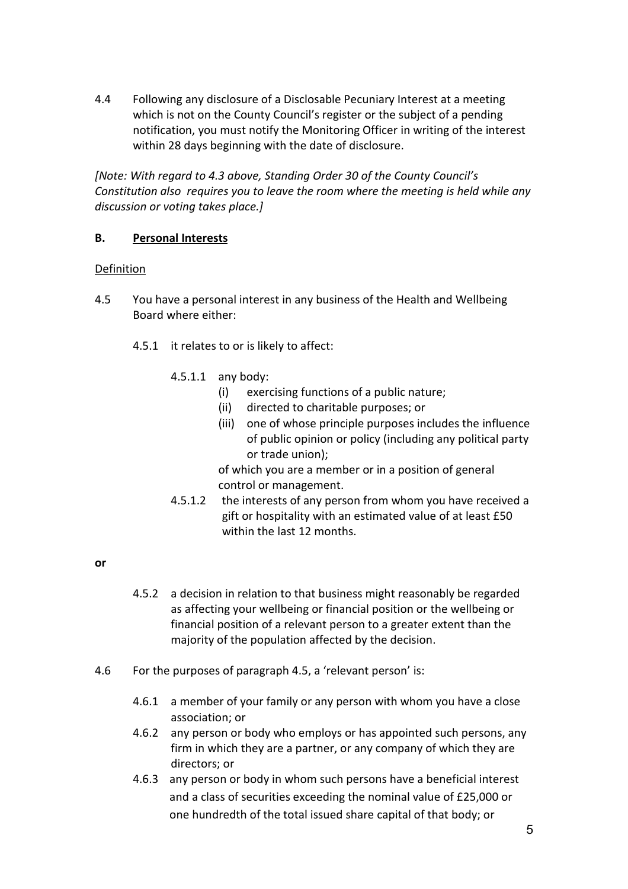4.4 Following any disclosure of a Disclosable Pecuniary Interest at a meeting which is not on the County Council's register or the subject of a pending notification, you must notify the Monitoring Officer in writing of the interest within 28 days beginning with the date of disclosure.

*[Note: With regard to 4.3 above, Standing Order 30 of the County Council's Constitution also requires you to leave the room where the meeting is held while any discussion or voting takes place.]* 

# **B. Personal Interests**

#### **Definition**

- 4.5 You have a personal interest in any business of the Health and Wellbeing Board where either:
	- 4.5.1 it relates to or is likely to affect:
		- 4.5.1.1 any body:
			- (i) exercising functions of a public nature;
			- (ii) directed to charitable purposes; or
			- (iii) one of whose principle purposes includes the influence of public opinion or policy (including any political party or trade union);

of which you are a member or in a position of general control or management.

4.5.1.2 the interests of any person from whom you have received a gift or hospitality with an estimated value of at least £50 within the last 12 months.

#### **or**

- 4.5.2 a decision in relation to that business might reasonably be regarded as affecting your wellbeing or financial position or the wellbeing or financial position of a relevant person to a greater extent than the majority of the population affected by the decision.
- 4.6 For the purposes of paragraph 4.5, a 'relevant person' is:
	- 4.6.1 a member of your family or any person with whom you have a close association; or
	- 4.6.2 any person or body who employs or has appointed such persons, any firm in which they are a partner, or any company of which they are directors; or
	- 4.6.3 any person or body in whom such persons have a beneficial interest and a class of securities exceeding the nominal value of £25,000 or one hundredth of the total issued share capital of that body; or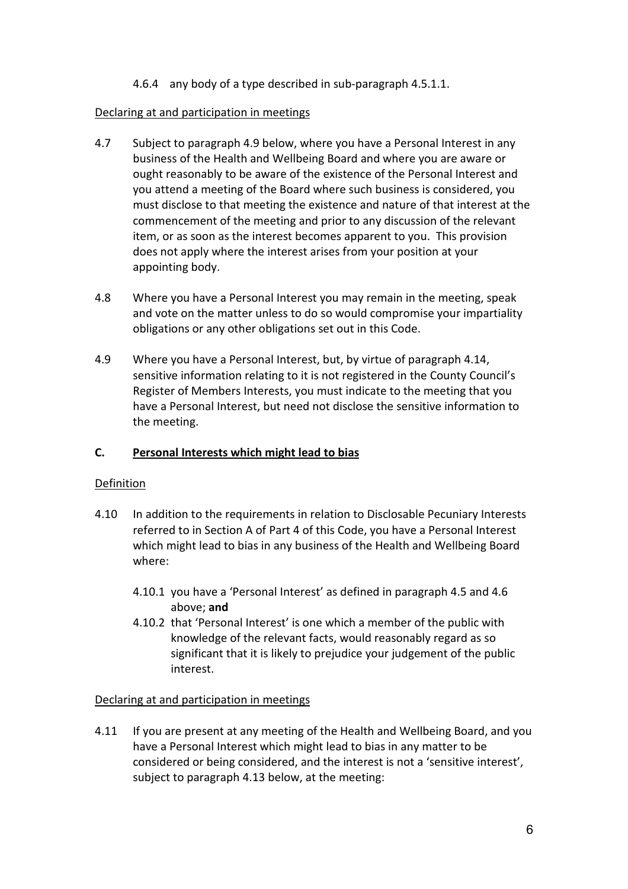# 4.6.4 any body of a type described in sub-paragraph 4.5.1.1.

#### Declaring at and participation in meetings

- 4.7 Subject to paragraph 4.9 below, where you have a Personal Interest in any business of the Health and Wellbeing Board and where you are aware or ought reasonably to be aware of the existence of the Personal Interest and you attend a meeting of the Board where such business is considered, you must disclose to that meeting the existence and nature of that interest at the commencement of the meeting and prior to any discussion of the relevant item, or as soon as the interest becomes apparent to you. This provision does not apply where the interest arises from your position at your appointing body.
- 4.8 Where you have a Personal Interest you may remain in the meeting, speak and vote on the matter unless to do so would compromise your impartiality obligations or any other obligations set out in this Code.
- 4.9 Where you have a Personal Interest, but, by virtue of paragraph 4.14, sensitive information relating to it is not registered in the County Council's Register of Members Interests, you must indicate to the meeting that you have a Personal Interest, but need not disclose the sensitive information to the meeting.

#### **C. Personal Interests which might lead to bias**

#### Definition

- 4.10 In addition to the requirements in relation to Disclosable Pecuniary Interests referred to in Section A of Part 4 of this Code, you have a Personal Interest which might lead to bias in any business of the Health and Wellbeing Board where:
	- 4.10.1 you have a 'Personal Interest' as defined in paragraph 4.5 and 4.6 above; **and**
	- 4.10.2 that 'Personal Interest' is one which a member of the public with knowledge of the relevant facts, would reasonably regard as so significant that it is likely to prejudice your judgement of the public interest.

#### Declaring at and participation in meetings

4.11 If you are present at any meeting of the Health and Wellbeing Board, and you have a Personal Interest which might lead to bias in any matter to be considered or being considered, and the interest is not a 'sensitive interest', subject to paragraph 4.13 below, at the meeting: